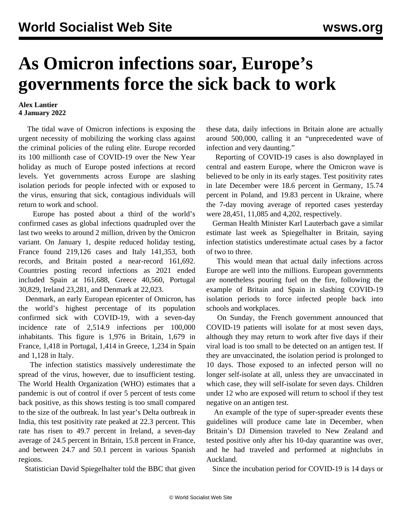## **As Omicron infections soar, Europe's governments force the sick back to work**

## **Alex Lantier 4 January 2022**

 The tidal wave of Omicron infections is exposing the urgent necessity of mobilizing the working class against the criminal policies of the ruling elite. Europe recorded its 100 millionth case of COVID-19 over the New Year holiday as much of Europe posted infections at record levels. Yet governments across Europe are slashing isolation periods for people infected with or exposed to the virus, ensuring that sick, contagious individuals will return to work and school.

 Europe has posted about a third of the world's confirmed cases as global infections quadrupled over the last two weeks to around 2 million, driven by the Omicron variant. On January 1, despite reduced holiday testing, France found 219,126 cases and Italy 141,353, both records, and Britain posted a near-record 161,692. Countries posting record infections as 2021 ended included Spain at 161,688, Greece 40,560, Portugal 30,829, Ireland 23,281, and Denmark at 22,023.

 Denmark, an early European epicenter of Omicron, has the world's highest percentage of its population confirmed sick with COVID-19, with a seven-day incidence rate of 2,514.9 infections per 100,000 inhabitants. This figure is 1,976 in Britain, 1,679 in France, 1,418 in Portugal, 1,414 in Greece, 1,234 in Spain and 1,128 in Italy.

 The infection statistics massively underestimate the spread of the virus, however, due to insufficient testing. The World Health Organization (WHO) estimates that a pandemic is out of control if over 5 percent of tests come back positive, as this shows testing is too small compared to the size of the outbreak. In last year's Delta outbreak in India, this test positivity rate peaked at 22.3 percent. This rate has risen to 49.7 percent in Ireland, a seven-day average of 24.5 percent in Britain, 15.8 percent in France, and between 24.7 and 50.1 percent in various Spanish regions.

Statistician David Spiegelhalter told the BBC that given

these data, daily infections in Britain alone are actually around 500,000, calling it an "unprecedented wave of infection and very daunting."

 Reporting of COVID-19 cases is also downplayed in central and eastern Europe, where the Omicron wave is believed to be only in its early stages. Test positivity rates in late December were 18.6 percent in Germany, 15.74 percent in Poland, and 19.83 percent in Ukraine, where the 7-day moving average of reported cases yesterday were 28,451, 11,085 and 4,202, respectively.

 German Health Minister Karl Lauterbach gave a similar estimate last week as Spiegelhalter in Britain, saying infection statistics underestimate actual cases by a factor of two to three.

 This would mean that actual daily infections across Europe are well into the millions. European governments are nonetheless pouring fuel on the fire, following the example of Britain and Spain in slashing COVID-19 isolation periods to force infected people back into schools and workplaces.

 On Sunday, the French government announced that COVID-19 patients will isolate for at most seven days, although they may return to work after five days if their viral load is too small to be detected on an antigen test. If they are unvaccinated, the isolation period is prolonged to 10 days. Those exposed to an infected person will no longer self-isolate at all, unless they are unvaccinated in which case, they will self-isolate for seven days. Children under 12 who are exposed will return to school if they test negative on an antigen test.

 An example of the type of super-spreader events these guidelines will produce came late in December, when Britain's DJ Dimension traveled to New Zealand and tested positive only after his 10-day quarantine was over, and he had traveled and performed at nightclubs in Auckland.

Since the incubation period for COVID-19 is 14 days or